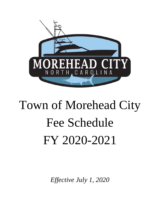

# Town of Morehead City Fee Schedule FY 2020-2021

*Effective July 1, 2020*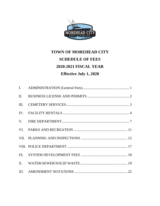

## **TOWN OF MOREHEAD CITY SCHEDULE OF FEES 2020-2021 FISCAL YEAR Effective July 1, 2020**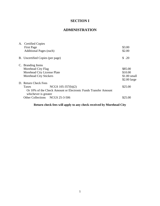## **SECTION I**

## **ADMINISTRATION**

| A. Certified Copies                                                                    |               |
|----------------------------------------------------------------------------------------|---------------|
| <b>First Page</b>                                                                      | \$3.00        |
| <b>Additional Pages (each)</b>                                                         | \$2.00        |
| B. Uncertified Copies (per page)                                                       | \$.20         |
| C. Branding Items                                                                      |               |
| Morehead City Flag                                                                     | \$85.00       |
| Morehead City License Plate                                                            | \$10.00       |
| <b>Morehead City Stickers</b>                                                          | $$1.00$ small |
|                                                                                        | $$2.00$ large |
| D. Return Check Fees                                                                   |               |
| NCGS $105-357(b)(2)$<br>Taxes                                                          | \$25.00       |
| Or 10% of the Check Amount or Electronic Funds Transfer Amount<br>whichever is greater |               |
| Other Collections NCGS 25-3-506                                                        | \$25.00       |
|                                                                                        |               |

## **Return check fees will apply to any check received by Morehead City**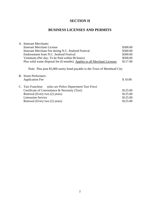## **SECTION II**

## **BUSINESS LICENSES AND PERMITS**

| A. Itinerant Merchants:                                                                                                                                                                                     |                                              |
|-------------------------------------------------------------------------------------------------------------------------------------------------------------------------------------------------------------|----------------------------------------------|
| <b>Itinerant Merchant License</b>                                                                                                                                                                           | \$300.00                                     |
| Itinerant Merchant Fee during N.C. Seafood Festival                                                                                                                                                         | \$300.00                                     |
| Endorsement from N.C. Seafood Festival                                                                                                                                                                      | \$300.00                                     |
| Violations (Per day; To be Paid within 96 hours)                                                                                                                                                            | \$500.00                                     |
| Plus solid waste disposal fee (6 months) Applies to all Merchant Licenses                                                                                                                                   | \$117.00                                     |
| Note: Plus post \$5,000 surety bond payable to the Town of Morehead City                                                                                                                                    |                                              |
| <b>B.</b> Street Performers:                                                                                                                                                                                |                                              |
| <b>Application Fee</b>                                                                                                                                                                                      | \$10.00                                      |
| C. Taxi Franchise.<br>(also see Police Department Taxi Fees)<br>Certificate of Convenience & Necessity (Taxi)<br>Renewal (Every two (2) years)<br><b>Limousine Service</b><br>Renewal (Every two (2) years) | \$125.00<br>\$125.00<br>\$125.00<br>\$125.00 |
|                                                                                                                                                                                                             |                                              |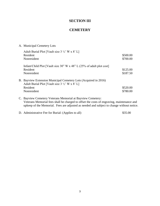## **SECTION III**

## **CEMETERY**

## A. Municipal Cemetery Lots

| Adult Burial Plot [Vault size $3\frac{1}{2}$ ' W x $8'$ L]                                                                    |          |
|-------------------------------------------------------------------------------------------------------------------------------|----------|
| Resident                                                                                                                      | \$500.00 |
| Nonresident                                                                                                                   | \$700.00 |
| Infant/Child Plot [Vault size 30" W x 48" L $(25\% \text{ of adult plot cost})$                                               |          |
| Resident                                                                                                                      | \$125.00 |
| Nonresident                                                                                                                   | \$187.50 |
| B. Bayview Extension Municipal Cemetery Lots (Acquired in 2016)<br>Adult Burial Plot [Vault size $3\frac{1}{2}$ ' W x $8'$ L] |          |
| Resident                                                                                                                      | \$520.00 |
| Nonresident                                                                                                                   | \$780.00 |
|                                                                                                                               |          |

C. Bayview Cemetery Veterans Memorial at Bayview Cemetery: Veterans Memorial fees shall be charged to offset the costs of engraving, maintenance and upkeep of the Memorial. Fees are adjusted as needed and subject to change without notice.

D. Administrative Fee for Burial: (Applies to all) \$35.00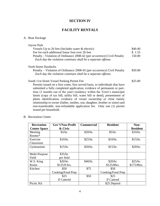## **SECTION IV**

## **FACILITY RENTALS**

## A. Boat Dockage

| Jaycee Park                                                                                                                              |         |
|------------------------------------------------------------------------------------------------------------------------------------------|---------|
| Vessels Up to 26 feet (Includes water & electric)                                                                                        | \$40.40 |
| Fee for each additional linear foot over 26 feet                                                                                         | \$1.55  |
| Penalty - Violation of Ordinance 2008-42 (per occurrence) Civil Penalty<br>Each day the violation continues shall be a separate offense. | 150.00  |
|                                                                                                                                          |         |
| <b>Sixth Street Daydocks</b>                                                                                                             |         |
| Penalty – Violation of Ordinance 2008-45 (per occurrence) Civil Penalty                                                                  | \$50.00 |
| Each day the violation continues shall be a separate offense.                                                                            |         |
| South 11st Street Vessel Parking Permit Fee                                                                                              | \$25.00 |
| Permits issued on a first come, first served basis, to individuals that have                                                             |         |
| submitted a fully completed application, evidence of permanent or part-                                                                  |         |
| time (3 months out of the year) residency within the Town's municipal                                                                    |         |
| limits (copy of tax bill, utility bill, water bill or deed), presentment of                                                              |         |
| photo identification, evidence of vessel ownership or close family                                                                       |         |
| relationship to owner (father, mother, son, daughter, brother or sister) and                                                             |         |
| non-transferable, non-refundable application fee. Only one (1) permit                                                                    |         |

#### B. Recreation Center

issued per household.

| <b>Recreation</b>   | Gov't/Non-Profit  | <b>Commercial</b> | <b>Resident</b>   | Non-            |
|---------------------|-------------------|-------------------|-------------------|-----------------|
| <b>Center Space</b> | & Civic           |                   |                   | <b>Resident</b> |
| Meeting             | \$5/hr.           | \$20/hr.          | \$5/hr.           | \$10/hr.        |
| Rooms*              |                   |                   |                   |                 |
| Exercise            | \$10/hr.          | \$25/hr.          | \$10/hr.          | \$15/hr.        |
| Classroom           |                   |                   |                   |                 |
| Gymnasium           | \$15/hr.          | \$20/hr.          | \$15/hr.          | \$20/hr.        |
|                     |                   |                   |                   |                 |
| Multi-Purpose       | \$35/hr.          |                   |                   |                 |
| Field               | per field         |                   |                   |                 |
| W.S. King           | \$20/hr.          | \$40/hr.          | \$20/hr.          | \$25/hr.        |
| Room                | $$125/8$ hrs.     |                   | \$125/8hrs.       | \$175/8hrs.     |
| Kitchen             | \$50              | \$75              | \$50              |                 |
|                     | Cooking/Food Prep |                   | Cooking/Food Prep |                 |
|                     | \$25              | \$50              | \$25              |                 |
|                     | If Catered        |                   | If Catered        |                 |
| Picnic Kit          |                   |                   | \$25 Deposit      |                 |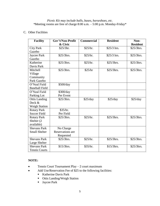#### *Picnic Kit may include balls, bases, horseshoes, etc. \**Meeting rooms are free of charge 8:00 a.m. – 5:00 p.m. Monday-Friday\*

#### C. Other Facilities

| <b>Facility</b>       | Gov't/Non-Profit        | <b>Commercial</b> | <b>Resident</b> | Non-            |
|-----------------------|-------------------------|-------------------|-----------------|-----------------|
|                       | & Civic                 |                   |                 | <b>Resident</b> |
| <b>City Park</b>      | \$25/3hr.               | \$25/hr.          | \$25/3 hrs.     | \$25/3hrs.      |
| Gazebo                |                         |                   |                 |                 |
| Jaycee Park           | \$25/3hrs.              | \$25/hr.          | \$25/3 hrs.     | \$25/3hrs.      |
| Gazebo                |                         |                   |                 |                 |
| Katherine             | \$25/3hrs.              | \$25/hr.          | \$25/3hrs.      | \$25/3hrs.      |
| Davis Park            |                         |                   |                 |                 |
| Mitchell              | \$25/3hrs.              | \$25/hr           | \$25/3hrs.      | \$25/3hrs.      |
| Village               |                         |                   |                 |                 |
| Community             |                         |                   |                 |                 |
| Park Gazebo           |                         |                   |                 |                 |
| O'Neal Field          | \$500/day               |                   |                 |                 |
| <b>Baseball Field</b> |                         |                   |                 |                 |
| O'Neal Field          | \$300/day               |                   |                 |                 |
| Parking Lot           | Per Event               |                   |                 |                 |
| <b>Ottis Landing</b>  | \$25/3hrs.              | \$25/day          | \$25/day        | \$25/day        |
| Deck &                |                         |                   |                 |                 |
| <b>Weigh Station</b>  |                         |                   |                 |                 |
| <b>Rotary Park</b>    | \$35/hr.                |                   |                 |                 |
| <b>Soccer Field</b>   | Per Field               |                   |                 |                 |
| <b>Rotary Park</b>    | \$25/3hrs.              | \$25/hr.          | \$25/3hrs.      | \$25/3hrs.      |
| Shelter (2            |                         |                   |                 |                 |
| available)            |                         |                   |                 |                 |
| <b>Shevans Park</b>   | No Charge               |                   |                 |                 |
| <b>Small Shelter</b>  | <b>Reservations</b> are |                   |                 |                 |
|                       | Requested               |                   |                 |                 |
| <b>Shevans Park</b>   | \$25/3hrs.              | \$25/hr.          | \$25/3hrs.      | \$25/3hrs.      |
| Large Shelter         |                         |                   |                 |                 |
| <b>Shevans Park</b>   | \$15/3hrs.              | \$35/hr.          | \$15/3hrs.      | \$25/3hrs.      |
| <b>Tennis Courts</b>  |                         |                   |                 |                 |

## **NOTE:**

- Tennis Court Tournament Play  $-2$  court maximum
- Add Use/Reservation Fee of \$25 to the following facilities:
	- **Katherine Davis Park**
	- Ottis Landing/Weigh Station
	- **Jaycee Park**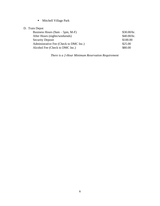**Mitchell Village Park** 

## D. Train Depot

| Business Hours $(9am - 5pm, M-F)$      | \$30.00/hr. |
|----------------------------------------|-------------|
| After Hours (nights/weekends)          | \$40.00/hr. |
| <b>Security Deposit</b>                | \$100.00    |
| Administrative Fee (Check to DMC Inc.) | \$25.00     |
| Alcohol Fee (Check to DMC Inc.)        | \$80.00     |

*There is a 2-Hour Minimum Reservation Requirement*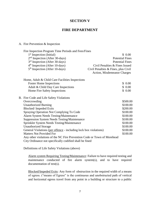#### **SECTION V**

#### **FIRE DEPARTMENT**

#### A. Fire Prevention & Inspection

| Fire Inspection Program Time Periods and Fees/Fines                     |                                       |                        |
|-------------------------------------------------------------------------|---------------------------------------|------------------------|
| 1 <sup>st</sup> Inspection (Initial)                                    |                                       | \$0.00                 |
| $2nd$ Inspection (After 30-days)                                        |                                       | <b>Potential Fines</b> |
| 3 <sup>rd</sup> Inspection (After 30-days)                              |                                       | <b>Potential Fines</b> |
| 4 <sup>th</sup> Inspection (After 10-days)                              | Civil Penalties & Fines Issued        |                        |
| 5 <sup>th</sup> Inspection (After 10-days)                              | Civil Penalties $&$ Fines, plus Civil |                        |
|                                                                         | Action, Misdemeanor Charges           |                        |
|                                                                         |                                       |                        |
| Home, Adult & Child Care Facilities Inspections                         |                                       |                        |
| <b>Foster Home Inspections</b>                                          |                                       | \$0.00                 |
| Adult & Child Day Care Inspections                                      |                                       | \$0.00                 |
| Home Fire Safety Inspections                                            |                                       | \$0.00                 |
|                                                                         |                                       |                        |
| B. Fire Code and Life Safety Violations                                 |                                       |                        |
| Overcrowding                                                            |                                       | \$500.00               |
| <b>Unauthorized Burning</b>                                             |                                       | \$100.00               |
| Blocked/Impeded Exits                                                   |                                       | \$200.00               |
| Spraying Operation Not Complying To Code                                |                                       | \$100.00               |
| Alarm System Needs Testing/Maintenance                                  |                                       | \$100.00               |
| <b>Suppression System Needs Testing/Maintenance</b>                     |                                       | \$100.00               |
| Sprinkler System Needs Testing/Maintenance                              |                                       | \$100.00               |
| <b>Unauthorized Storage</b>                                             |                                       | \$100.00               |
| General Violations (per offence - including lock box violations)        |                                       | \$100.00               |
| <b>Matters Not Provided For</b>                                         |                                       | \$100.00               |
| Any other violations of the NC Fire Prevention Code or Town of Morehead |                                       |                        |
| City Ordinance not specifically codified shall be fined                 |                                       |                        |

Definitions of Life Safety Violations (above)

Alarm system Requiring Testing/Maintenance: Failure to have required testing and maintenance conducted of fire alarm system(s), and to have required documentation of test(s).

Blocked/Impeded Exits: Any form of obstruction in the required width of a means of egress. ("means of Egress" is the continuous and unobstructed path of vertical and horizontal egress travel from any point in a building or structure to a public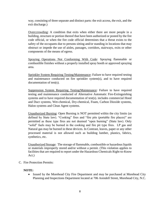way, consisting of three separate and distinct parts: the exit access, the exit, and the exit discharge.)

Overccrowding: A condition that exits when either there are more people in a building, structure or portion thereof that have been authorized or posted by the fire code official, or when the fire code official determines that a threat exists to the safety of the occupants due to persons sitting and/or standing in locations that may obstruct or impede the use of aisles, passages, corridors, stairways, exits or other components of the means of egress.

Spraying Operations Not Conforming With Code: Spraying flammable or combustible finishes without a properly installed spray booth or approved spraying area.

Sprinkler System Requiring Testing/Maintenance: Failure to have required testing and maintenance conducted on fire sprinkler system(s), and to have required documentation of test(s).

Suppression System Requiring Testing/Maintenance: Failure to have required testing and maintenance conducted of Alternative Automatic Fire-Extinguishing systems and to have required documentation of test(s). includes commercial Hood and Duct systems, Wet-chemical, Dry-chemical, Foam, Carbon Dioxide systems, Halon systems and Clean Agent systems.

Unauthorized Burning: Open Burning is NOT permitted within the city limits (as defined by State law). "Cooking" fires and "fire pits (portable fire places)" are permitted as these type fires are not deemed "open burning" (State law). Only "solid" fuels may be burned in the cooking and fire pit type fires. LP gas and Natural gas may be burned in these devices. In Contrast, leaves, paper or any other processed material is not allowed such as building lumber, plastics, fabrics, synthetics, etc.

Unauthorized Storage: The storage of flammable, combustible or hazardous liquids or materials improperly stored and/or without a permit. (This violation applies to facilities that are required to report under the Hazardous Chemicals Right-to-Know Act.)

C. Fire Protection Permits:

#### **NOTE:**

• Issued by the Morehead City Fire Department and may be purchased at Morehead City Planning and Inspections Department located at 706 Arendell Street, Morehead City, N.C.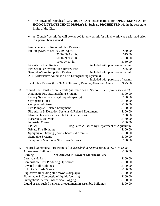- The Town of Morehead City **DOES NOT** issue permits for **OPEN BURNING** or **INDOOR PYROTECHNIC DISPLAYS**. Such are **PROHIBITED** within the corporate limits of the City.
- A "Double" permit fee will be charged for any permit for which work was performed prior to a permit being issued.

|  | Fee Schedule for Required Plan Reviews:                                               |                                                 |          |
|--|---------------------------------------------------------------------------------------|-------------------------------------------------|----------|
|  | Buildings/Structures 0-2499 sq. ft.                                                   |                                                 | \$50.00  |
|  | 2500-4999 sq. ft.                                                                     |                                                 | \$75.00  |
|  | 5000-9999 sq. ft.                                                                     |                                                 | \$100.00 |
|  | $10,000 + sq.$ ft.                                                                    |                                                 | \$150.00 |
|  | Fire Alarm Plan Review                                                                | included with purchase of permit                |          |
|  | Fire Sprinkler System Plan Review Fee                                                 |                                                 | \$75.00  |
|  | Standpipe/Fire Pump Plan Review                                                       | included with purchase of permit                |          |
|  | AES (Alternative Automatic Fire-Extinguishing Systems)                                |                                                 |          |
|  |                                                                                       | included with purchase of permit                |          |
|  | Tank Plan Review (UGST/AGST-Install, Remove, Abandon, Alter)                          |                                                 | \$75.00  |
|  | D. Required Fire Construction Permits (As described in Section 105.7 of NC Fire Code) |                                                 |          |
|  | <b>Automatic Fire-Extinguishing Systems</b>                                           |                                                 | \$100.00 |
|  | Battery Systems (> 50 gal. liquid capacity)                                           |                                                 | \$100.00 |
|  | Cryogenic Fluids                                                                      |                                                 | \$100.00 |
|  | <b>Compressed Gases</b>                                                               |                                                 | \$100.00 |
|  | Fire Pumps & Related Equipment                                                        |                                                 |          |
|  | Fire Alarm & Detection Systems & Related Equipment                                    |                                                 | \$100.00 |
|  | Flammable and Combustible Liquids (per site)                                          |                                                 |          |
|  | <b>Hazardous Materials</b>                                                            |                                                 | \$150.00 |
|  | <b>Industrial Ovens</b>                                                               |                                                 | \$100.00 |
|  | LP Gas                                                                                | Regulated & Issued by Department of Agriculture |          |
|  | Private Fire Hydrants                                                                 |                                                 | \$100.00 |
|  | Spraying or Dipping (rooms, booths, dip tanks)                                        |                                                 | \$100.00 |
|  | <b>Standpipe Systems</b>                                                              |                                                 | \$100.00 |
|  | Temporary Membrane Structures & Tents                                                 |                                                 | \$100.00 |
|  | E. Required Operational Fire Permits (As described in Section 105.6 of NC Fire Code)  |                                                 |          |
|  | <b>Amusement Buildings</b>                                                            |                                                 | \$100.00 |
|  | <b>Not Allowed in Town of Morehead City</b><br><b>Burning</b>                         |                                                 |          |
|  | Carnivals & Fairs                                                                     |                                                 | \$100.00 |
|  | <b>Combustible Dust Producing Operations</b>                                          |                                                 | \$100.00 |
|  | <b>Covered Mall Buildings</b>                                                         |                                                 | \$100.00 |
|  | <b>Exhibits &amp; Trade Shows</b>                                                     |                                                 | \$100.00 |
|  | Explosives (including all fireworks displays)                                         | \$100.00                                        |          |
|  | Flammable & Combustible Liquids (per site)                                            |                                                 |          |
|  | Fumigation/Thermal Insecticidal Fogging                                               |                                                 |          |
|  | Liquid or gas-fueled vehicles or equipment in assembly buildings                      |                                                 |          |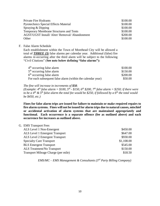| Private Fire Hydrants                                 | \$100.00 |
|-------------------------------------------------------|----------|
| <b>Pyrotechnics Special Effects Material</b>          | \$100.00 |
| Spraying & Dipping                                    | \$100.00 |
| <b>Temporary Membrane Structures and Tents</b>        | \$100.00 |
| <b>AGST/UGST Install/ Alter/ Removal/ Abandonment</b> | \$200.00 |
| Other                                                 | \$100.00 |

F. False Alarm Schedule

Each establishment within the Town of Morehead City will be allowed a total of *THREE (3)* false alarms per calendar year. Additional (false) fire alarms re-occurring after the third alarm will be subject to the following "Civil Citations" (**See note below defining "false alarms"):**

| 4 <sup>th</sup> occurring false alarm                      | \$100.00 |
|------------------------------------------------------------|----------|
| 5 <sup>th</sup> occurring false alarm                      | \$150.00 |
| 6 <sup>th</sup> occurring false alarm                      | \$200.00 |
| For each subsequent false alarm (within the calendar year) | \$50.00  |

*The fine will increase in increments of \$50.*

*(Example: 4<sup>th</sup> false alarm* = \$100, 5<sup>th</sup> - \$150, 6<sup>th</sup> \$200, 7<sup>th</sup> false alarm = \$250; if there were *to be a 4th & 5th false alarm the total fee would be \$250, if followed by a 6th the total would be \$450, etc.)*

**Fines for false alarm trips are issued for failure to maintain or make required repairs to fire alarm systems. Fines will not be issued for alarm trips due to natural causes, mischief or accidental activation of alarm systems that are maintained appropriately and functional. Each occurrence is a separate offence (fee as outlined above) and each occurrence fee increases as outlined above.**

#### G. EMS Transport Fees

| ALS Level 1 Non-Emergent            | \$450.00   |
|-------------------------------------|------------|
| ALS Level 1 Emergent Transport      | \$647.00   |
| ALS Level 2 Emergent Transport      | \$930.00   |
| <b>Specialty Care Transport</b>     | \$1,108.00 |
| <b>BLS</b> Emergent Transport       | \$545.00   |
| ALS Treatment/No Transport          | \$150.00   |
| Transport Mileage Charge (per mile) | \$18.50    |
|                                     |            |

*EMS/MC – EMS Management & Consultants (3rd Party Billing Company)*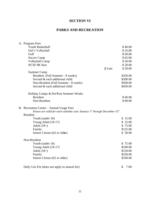## **SECTION VI**

## **PARKS AND RECREATION**

| A. Program Fees                                                                 |         |            |
|---------------------------------------------------------------------------------|---------|------------|
| Youth Basketball                                                                |         | \$40.00    |
| Girl's Volleyball                                                               |         | \$35.00    |
| Golf                                                                            |         | \$60.00    |
| Soccer Camp                                                                     |         | \$65.00    |
| Volleyball Camp                                                                 |         | \$50.00    |
| <b>NCSF 8K Run</b>                                                              |         | \$20.00    |
|                                                                                 | If Late | \$30.00    |
| <b>Summer Camp</b>                                                              |         |            |
| Resident (Full Summer - 8 weeks)                                                |         | \$350.00   |
| Second & each additional child                                                  |         | \$300.00   |
| Non-Resident (Full Summer - 8 weeks)                                            |         | \$500.00   |
| Second & each additional child                                                  |         | \$450.00   |
| Holiday Camps & Pre/Post Summer Weeks                                           |         |            |
| Resident                                                                        |         | \$60.00    |
| Non-Resident                                                                    |         | \$90.00    |
| B. Recreation Center – Annual Usage Fees                                        |         |            |
| Passes are valid for each calendar year January $I^{st}$ through December 31st. |         |            |
| Resident                                                                        |         |            |
| Youth (under 16)                                                                |         | \$15.00    |
| Young Adult (16-17)                                                             |         | \$25.00    |
| Adult $(18+)$                                                                   |         | \$75.00    |
| Family                                                                          |         | \$125.00   |
| Senior Citizen (62 or older)                                                    |         | \$50.00    |
| Non-Resident                                                                    |         |            |
| Youth (under 16)                                                                |         | \$75.00    |
| Young Adult (16-17)                                                             |         | \$100.00   |
| Adult $(18+)$                                                                   |         | \$150.00   |
| Family                                                                          |         | \$250.00   |
| Senior Citizen (62 or older)                                                    |         | \$100.00   |
| Daily Use Fee (does not apply to annual fee)                                    |         | \$<br>7.00 |
|                                                                                 |         |            |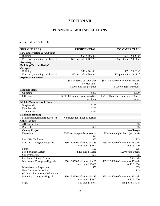## **SECTION VII**

## **PLANNING AND INSPECTIONS**

## A. Permit Fee Schedule

| <b>PERMIT FEES</b>                      | <b>RESIDENTIAL</b>                            | <b>COMMERCIAL</b>                                  |
|-----------------------------------------|-----------------------------------------------|----------------------------------------------------|
| <b>New Construction &amp; Additions</b> |                                               |                                                    |
| <b>Building</b>                         | $$50 + $0.20$ sf                              | $$75 + $0.23$ sf                                   |
| Electrical, plumbing, mechanical        | $$50$ per trade + $$0.12$ sf                  | $$65$ per trade + $$0.14$ sf                       |
| Accessory                               |                                               |                                                    |
| <b>Buildings/Porches/Decks/</b>         |                                               |                                                    |
| <b>Garages</b>                          |                                               |                                                    |
| <b>Building</b>                         | $$50 + $0.14$ sf                              | $$65 + $0.20 \text{ sf}$                           |
| Electrical, plumbing, mechanical        | $$50$ per trade + \$0.09 sf                   | $$65$ per trade + $$0.12$ sf                       |
| <b>Repairs/Renovations</b>              |                                               |                                                    |
|                                         | \$50/1 <sup>st</sup> \$5000 of value plus     | \$65/1st \$5000 of value plus \$5/each             |
|                                         | \$5/each add'l                                | add'l                                              |
|                                         | \$1000 plus \$50 per trade                    | \$1000 plus\$65 per trade                          |
| <b>Modular Home</b>                     |                                               |                                                    |
| On-frame                                | \$300                                         | \$300                                              |
| Off-frame                               | \$3/\$1000 contract value plus \$50           | \$3/\$1000 contract value plus \$65 per            |
|                                         | per trade                                     | trade                                              |
| <b>Mobile/Manufactured Home</b>         |                                               |                                                    |
| Single-wide                             | \$125                                         |                                                    |
| Double-wide                             | \$200                                         |                                                    |
| Triple-wide                             | \$350                                         |                                                    |
| <b>Minimum Housing</b>                  |                                               |                                                    |
| Minimum housing inspection fee          | No charge for initial inspection              |                                                    |
| <b>Other Permits</b>                    |                                               |                                                    |
| <b>ABC</b> Inspection                   |                                               | \$65                                               |
| <b>Boat Lift</b>                        | \$50                                          | \$65                                               |
| <b>County Project</b>                   |                                               | <b>No Charge</b>                                   |
| Demolition                              | \$50/structure plus bond (sec 4-              | \$65/structure plus bond (sec 4-16)                |
|                                         | 16)                                           |                                                    |
| Dock/Pier/Bulkhead                      | \$50                                          | \$65                                               |
| Electrical Changeout/Upgrade            | \$50/1 <sup>st</sup> \$5000 of value plus \$5 | \$65/1 <sup>st</sup> \$5000 of value plus \$5 each |
|                                         | each add'l \$1000                             | add'l \$1000                                       |
| Fences                                  | \$50                                          | \$65                                               |
| Fire Sprinkler System                   | \$250 plus \$1/head                           | \$250 plus \$1/head                                |
| <b>Gas Installation</b>                 | \$50                                          | \$65                                               |
| Gas Pumps/Storage Tanks                 |                                               | \$65/each                                          |
| Mechanical Changeout/Upgrade            | \$50/1 <sup>st</sup> \$5000 of value plus \$5 | \$65/1 <sup>st</sup> \$5000 of value plus \$5 each |
|                                         | each add'l \$1000                             | add'l \$1000                                       |
| Miscellaneous Inspection                | \$50                                          | \$65                                               |
| New Business Inspection                 |                                               | \$65                                               |
| (Change of occupancy/Relocation         |                                               |                                                    |
| Plumbing Changeout/Upgrade              | \$50/1 <sup>st</sup> \$5000 of value plus \$5 | \$65/1 <sup>st</sup> \$5000 of value plus \$5 each |
|                                         | each add'l \$1000                             | add'l \$1000                                       |
| Signs                                   | \$50 plus \$1.50 sf                           | \$65 plus \$1.50 sf                                |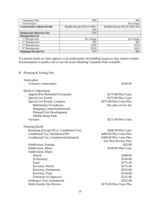| <b>Temporary Pole</b>              | \$50                       | \$65                          |
|------------------------------------|----------------------------|-------------------------------|
| Town Project                       |                            | `No Charge                    |
| <b>Construction without Permit</b> | Double fees per NCGS 160A- | Double fees per NCGS 160A-414 |
|                                    | 414                        |                               |
| <b>Homeowner Recovery Fee</b>      | \$10                       |                               |
| <b>Reinspection Fee</b>            |                            |                               |
| 1 <sup>st</sup> Reinspection       | No Charge                  | No Charge                     |
| 2 <sup>nd</sup> Reinspection       | \$50                       | \$65                          |
| 3 <sup>rd</sup> Reinspection       | \$100                      | \$130                         |
| 4 <sup>th</sup> Reinspection       | \$150                      | \$195                         |
| <b>Minimum Permit Fee</b>          | \$50                       | \$65                          |

If a permit based on value appears to be understated, the building Inspector may require written documentation to justify cost or use the resent Building Valuation Data available.

#### B. Planning & Zoning Fees

| Annexation                              |                              |
|-----------------------------------------|------------------------------|
| <b>Voluntary Annexation</b>             | \$350.00                     |
| <b>Board of Adjustment</b>              |                              |
| Appeal (Fee Refunded If Granted)        | \$275.00 Plus Costs          |
| <b>Special Use Permit</b>               | \$275.00 Plus Costs          |
| Special Use Permit, Complex             | \$275.00 Plus Costs Plus     |
| Multifamily/Townhouse                   | Site plan review fee         |
| Shopping Center/Institutional           |                              |
| <b>Planned Unit Development</b>         |                              |
| Mobile Home Park                        |                              |
| Variance                                | \$275.00 Plus Costs          |
| <b>Planning Board</b>                   |                              |
| Rezoning (Except PD or Conditional Use) | \$400.00 Plus Costs          |
| Conditional Use, Residential/PD         | \$400.00 Plus Costs Plus     |
| Conditional Use, Commercial/Industrial  | \$400.00 Plus Costs Plus     |
|                                         | <b>Site Plan Review Fees</b> |
| Subdivision, Exempt                     | \$25.00                      |
| Subdivision, Minor                      | \$100.00 Plus Costs          |
| Subdivision, Major                      |                              |
| Sketch                                  | \$300.00                     |
| Preliminary                             | \$350.00                     |
| Final                                   | \$175.00                     |
| Revision, Sketch                        | \$275.00                     |
| Revision, Preliminary                   | \$325.00                     |
| Revision, Final                         | \$150.00                     |
| <b>Extension of Approval</b>            | \$125.00                     |
| <b>Ordinance Text Amendment</b>         | \$325.00                     |
| Multi-Family Site Review                | \$275.00 Plus Costs Plus     |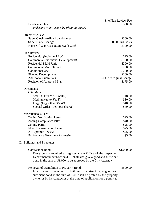| Landscape Plan<br>Landscape Plan Review by Planning Board                                                                                                                                                                                                                  | Site Plan Review Fee<br>\$300.00                                                                          |
|----------------------------------------------------------------------------------------------------------------------------------------------------------------------------------------------------------------------------------------------------------------------------|-----------------------------------------------------------------------------------------------------------|
| <b>Streets or Alleys</b><br><b>Street Closing/Alley Abandonment</b><br><b>Street Name Change</b><br>Right-Of-Way Useage/Sidewalk Café                                                                                                                                      | \$300.00<br>\$100.00 Plus Costs<br>\$100.00                                                               |
| Plan Review<br>Residential (Individual Lot)<br>Commercial (individual Development)<br><b>Residential Multi-Unit</b><br><b>Commercial Multi-Tenant</b><br><b>Conditional Use</b><br><b>Planned Development</b><br><b>Additional Submittals</b><br>Revision of Approved Plan | \$25.00<br>\$100.00<br>\$200.00<br>\$200.00<br>\$200.00<br>\$200.00<br>50% of Original Charge<br>\$175.00 |
| Documents<br>City Maps<br>Small $(11'x17'$ or smaller)<br>Medium (up to $3'x 4'$ )<br>Large (larger than $3'x 4'$ )<br>Special Order (per hour charge)                                                                                                                     | \$8.00<br>\$30.00<br>\$40.00<br>\$40.00                                                                   |
| <b>Miscellaneous Fees</b><br>Zoning Verification Letter<br>Zoning Compliance letter<br><b>Zoning Permit</b><br><b>Flood Determination Letter</b><br><b>ABC</b> permit Review<br><b>Performance Guarantee Processing</b>                                                    | \$25.00<br>\$40.00<br>\$25.00<br>\$25.00<br>\$25.00<br>\$5.00                                             |
| C. Buildings and Structures                                                                                                                                                                                                                                                |                                                                                                           |
| Contractors-Bond:<br>Every person required to register at the Office of the Inspection<br>Department under Section 4-13 shall also give a good and sufficient<br>bond in the sum of \$1,000 to be approved by the City Attorney.                                           | \$1,000.00                                                                                                |
| Removal of Demolition of Property-Bond:<br>In all cases of removal of building or a structure, a good and<br>sufficient bond in the sum of \$500 shall be posted by the property<br>owner or by his contractor at the time of application for a permit to                  | \$500.00                                                                                                  |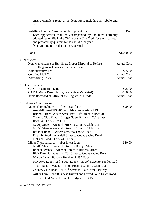| ensure complete removal or demolition, including all rubble and<br>debris.                                                                                                                                                                                                                                                                                                                                                                                                                                                                                                                                                                                                                                                                                                                                                                                                                                                                                                                                                                                                                                                                            |                                                     |  |
|-------------------------------------------------------------------------------------------------------------------------------------------------------------------------------------------------------------------------------------------------------------------------------------------------------------------------------------------------------------------------------------------------------------------------------------------------------------------------------------------------------------------------------------------------------------------------------------------------------------------------------------------------------------------------------------------------------------------------------------------------------------------------------------------------------------------------------------------------------------------------------------------------------------------------------------------------------------------------------------------------------------------------------------------------------------------------------------------------------------------------------------------------------|-----------------------------------------------------|--|
| Installing Energy Conservation Equipment, Etc.:<br>Each application shall be accompanied by the most currently<br>adopted fee on file in the Office of the City Clerk for the fiscal year<br>and prorated by quarters to the end of such year.<br>[See Minimum Residential Fee, permit].                                                                                                                                                                                                                                                                                                                                                                                                                                                                                                                                                                                                                                                                                                                                                                                                                                                              | Fees                                                |  |
| Bond                                                                                                                                                                                                                                                                                                                                                                                                                                                                                                                                                                                                                                                                                                                                                                                                                                                                                                                                                                                                                                                                                                                                                  | \$1,000.00                                          |  |
| D. Nuisances<br>Non-Maintenance of Buildings, Proper Disposal of Refuse,<br>Cutting grass/Leaves (Contracted Service)<br><b>Administrative Fee</b><br><b>Certified Mail Costs</b>                                                                                                                                                                                                                                                                                                                                                                                                                                                                                                                                                                                                                                                                                                                                                                                                                                                                                                                                                                     | <b>Actual Cost</b><br>\$25.00<br><b>Actual Cost</b> |  |
| <b>Advertising Costs</b>                                                                                                                                                                                                                                                                                                                                                                                                                                                                                                                                                                                                                                                                                                                                                                                                                                                                                                                                                                                                                                                                                                                              | <b>Actual Cost</b>                                  |  |
| E. Other Charges<br><b>CAMA</b> Exemption Letter                                                                                                                                                                                                                                                                                                                                                                                                                                                                                                                                                                                                                                                                                                                                                                                                                                                                                                                                                                                                                                                                                                      | \$25.00                                             |  |
| <b>CAMA Minor Permit Filing Fee</b> (State Mandated)                                                                                                                                                                                                                                                                                                                                                                                                                                                                                                                                                                                                                                                                                                                                                                                                                                                                                                                                                                                                                                                                                                  | \$100.00                                            |  |
| Items Recorded at Office of the Register of Deeds                                                                                                                                                                                                                                                                                                                                                                                                                                                                                                                                                                                                                                                                                                                                                                                                                                                                                                                                                                                                                                                                                                     | <b>Actual Cost</b>                                  |  |
| F. Sidewalk Cost Assessment                                                                                                                                                                                                                                                                                                                                                                                                                                                                                                                                                                                                                                                                                                                                                                                                                                                                                                                                                                                                                                                                                                                           |                                                     |  |
| Major Thoroughfares<br>(Per linear foot)<br>Arendell Street/US 70/Radio Island to Western ETJ<br>Bridges Street/Bridges Street Ext. $-4$ <sup>th</sup> Street to Hwy 70<br>Country Club Road - Bridges Street Ext. to N. 20 <sup>th</sup> Street<br>Hwy $24 -$ Hwy 70 to ETJ<br>N. 20 <sup>th</sup> Street – Arendell Street to Country Club Road<br>N. 35 <sup>th</sup> Street – Arendell Street to Country Club Road<br>Barbour Road - Bridges Street to Tootle Road<br>Friendly Road - Arendell Street to Country Club Road<br>McCabe Road - Hwy $24$ - Hwy 70<br><b>Minor Thoroughfares</b><br>(Per linear foot)<br>N. $28th$ Street – Arendell Street to Bridges Street<br>Bonner Avenue – Arendell Street to Bridges Street<br>Blair Farm Parkway - N. 20 <sup>th</sup> Street to Country Club Road<br>Mandy Lane - Barbour Road to N. 35 <sup>th</sup> Street<br>Mayberry Loop Road (South Loop) - N. 20 <sup>th</sup> Street to Tootle Road<br>Tootle Road - Mayberry Loop Road to Country Club Road<br>Country Club Road - N. 20 <sup>th</sup> Street to Blair Farm Parkway<br>Arthur Farm Road/Business Drive/Pond Drive/Gloria Dawn Road – | \$20.00<br>\$10.00                                  |  |
| From Old Airport Road to Bridges Street Ext.                                                                                                                                                                                                                                                                                                                                                                                                                                                                                                                                                                                                                                                                                                                                                                                                                                                                                                                                                                                                                                                                                                          |                                                     |  |

G. Wireless Facility Fees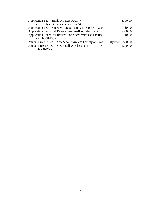| Application Fee – Small Wireless Facility                             | \$100.00 |
|-----------------------------------------------------------------------|----------|
| (per facility up to 5; \$50 each over 5)                              |          |
| Application Fee – Micro Wireless Facility in Right-Of-Way             | \$0.00   |
| <b>Application Technical Review Fee Small Wireless Facility</b>       | \$500.00 |
| <b>Application Technical Review Fee Micro Wireless Facility</b>       | \$0.00   |
| in Right-Of-Way                                                       |          |
| Annual License Fee – New Small Wireless Facility on Town Utility Pole | \$50.00  |
| Annual License Fee - New small Wireless Facility in Town              | \$270.00 |
| Right-Of-Way                                                          |          |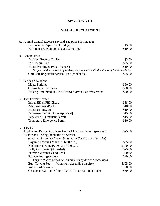## **SECTION VIII**

## **POLICE DEPARTMENT**

| A. Animal Control License Tax and Tag (One (1) time fee)                    |          |
|-----------------------------------------------------------------------------|----------|
| Each neutered/spayed cat or dog                                             | \$5.00   |
| Each non-neutered/non-spayed cat or dog                                     | \$10.00  |
| <b>B.</b> General Fees                                                      |          |
| <b>Accident Reports Copies</b>                                              | \$3.00   |
| <b>False Alarm Fee</b>                                                      | \$25.00  |
| Finger Printing Services (per set)                                          | \$10.00  |
| No fee for the purpose of seeking employment with the Town of Morehead City |          |
| Golf Cart Registration/Permit Fee (annual fee)                              | \$25.00  |
| C. Parking Violations                                                       |          |
| <b>Illegal Parking</b>                                                      | \$50.00  |
| <b>Obstructing Fire Lanes</b>                                               | \$50.00  |
| Parking Prohibited on Brick Paved Sidewalk on Waterfront                    | \$50.00  |
| D. Taxi Drivers Permit                                                      |          |
| Initial SBI & FBI Check                                                     | \$38.00  |
| Administration/Photo                                                        | \$10.00  |
| Fingerprinting, etc.                                                        | \$10.00  |
| Permanent Permit [After Approval]                                           | \$15.00  |
| <b>Renewal of Permanent Permit</b>                                          | \$15.00  |
| <b>Temporary Emergency Permit</b>                                           | \$10.00  |
| E. Towing                                                                   |          |
| <b>Application Payment for Wrecker Call List Privileges</b><br>(per year)   | \$25.00  |
| <b>Established Pricing Standards for Service</b>                            |          |
| (Charged by and Collected by Wrecker Services On Call List)                 |          |
| Daytime Towing (7:00 a.m.-6:00 p.m.)                                        | \$65.00  |
| Nighttime Towing (6:00 p.m.-7:00 a.m.)                                      | \$100.00 |
| Dolly/Car Carrier (if needed)                                               | \$25.00  |
| <b>Extreme Weather Conditions</b>                                           | \$100.00 |
| Storage Fee (per day)                                                       | \$20.00  |
| Large vehicles priced per amount of regular car space used                  |          |
| <b>Bulk Towing Fee</b><br>(Minimum depending on size)                       | \$125.00 |
| Roll-over/Overturned                                                        | \$100.00 |
| On-Scene Wait Time (more than 30 minutes)<br>(per hour)                     | \$50.00  |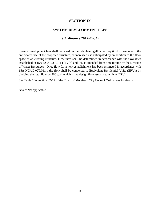## **SECTION IX**

#### **SYSTEM DEVELOPMENT FEES**

## **(Ordinance 2017-O-34)**

System development fees shall be based on the calculated gallon per day (GPD) flow rate of the anticipated use of the proposed structure, or increased use anticipated by an addition to the floor space of an existing structure. Flow rates shall be determined in accordance with the flow rates established in 15A NCAC 2T.0114 (a), (b) and (c), as amended from time to time by the Division of Water Resources. Once flow for a new establishment has been estimated in accordance with 15A NCAC 02T.0114, the flow shall be converted to Equivalent Residential Units (ERUs) by dividing the total flow by 360 gpd, which is the design flow associated with an ERU.

See Table 1 in Section 32-12 of the Town of Morehead City Code of Ordinances for details.

 $N/A = Not$  applicable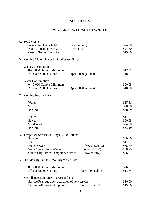## **SECTION X**

## **WATER/SEWER/SOLID WASTE**

| A. Solid Waste                                  |                               |          |
|-------------------------------------------------|-------------------------------|----------|
| <b>Residential Household</b>                    | (per month)                   | \$24.50  |
| Non-Residential with Cart                       | (per month)                   | \$24.50  |
| Cost of Second Trash Cart                       |                               | \$75.00  |
| B. Monthly Water, Sewer & Solid Waste Rates     |                               |          |
| <b>Water Consumption</b>                        |                               |          |
| $0 - 2,000$ Gallons Minimum                     |                               | \$17.81  |
| All over 2,000 Gallons                          | $(per 1,000$ gallons)         | \$8.91   |
| <b>Sewer Consumption</b>                        |                               |          |
| $0 - 2,000$ Gallons Minimum                     |                               | \$20.98  |
| All over 2,000 Gallons                          | $(per 1,000$ gallons)         | \$10.50  |
| C. Monthly In City Rates:                       |                               |          |
| Water                                           |                               | \$17.81  |
| Sewer                                           |                               | \$20.98  |
| <b>TOTAL</b>                                    |                               | \$38.79  |
| Water                                           |                               | \$17.81  |
| Sewer                                           |                               | \$20.98  |
| Solid Waste                                     |                               | \$24.50  |
| <b>TOTAL</b>                                    |                               | \$63.29  |
| D. Temporary Service (30 Days/2,000 Gallons)    |                               |          |
| Service*                                        |                               | \$30.00  |
| Water                                           |                               | \$17.81  |
| Water/Sewer                                     | (Sewer \$20.98)               | \$68.79  |
| Water/Sewer/Solid Waste                         | (Cart \$90.00)                | \$158.79 |
| Out of City Limits Temporary Service            | (water only)                  | \$56.67  |
| E. Outside City Limits – Monthly Water Rate     |                               |          |
| $0 - 2,000$ Gallons Minimum                     |                               | \$26.67  |
| All over 2,000 Gallons                          | $(per 1,000 \text{ gallons})$ | \$13.34  |
| F. Miscellaneous Service Charges and Fees       |                               |          |
| Service Fee [due upon activation of new service |                               | \$30.00  |
| Turn-on/off fee (working hrs)                   | (per occurrence)              | \$15.00  |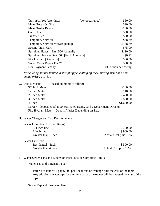| Turn-n/off fee (after hrs.)                | (per occurrence) | \$50.00              |
|--------------------------------------------|------------------|----------------------|
| Meter Test - On Site                       |                  | \$20.00              |
| Meter Test – Bench                         |                  | \$100.00             |
| <b>Cutoff</b> Fee                          |                  | \$30.00              |
| <b>Transfer Fee</b>                        |                  | \$30.00              |
| <b>Temporary Services</b>                  |                  | \$68.79              |
| Temporary Services w/trash pickup          |                  | \$158.79             |
| <b>Second Trash Cart</b>                   |                  | \$75.00              |
| Sprinkler Heads – First 500 Annually       |                  | \$110.00             |
| Sprinkler Heads – Over 500 [Each/Annually] |                  | \$0.22               |
| Fire Hydrant [Annually]                    |                  | \$66.00              |
| Water Meter Repair Fee**                   |                  | \$50.00              |
| <b>Non-Payment Penalty</b>                 |                  | 10% of balance owing |

*\*\*Including but not limited to straight pipe, cutting off lock, moving meter and any unauthorized activity.*

| G. User Deposits | (based on monthly billing)                                                                                                        |            |
|------------------|-----------------------------------------------------------------------------------------------------------------------------------|------------|
| 3/4 Inch Meter   |                                                                                                                                   | \$100.00   |
| 1- Inch Meter    |                                                                                                                                   | \$140.00   |
| 2- Inch Meter    |                                                                                                                                   | \$400.00   |
| 3- Inch Meter    |                                                                                                                                   | \$800.00   |
| $4-$ Inch        |                                                                                                                                   | \$1,600.00 |
|                  | Larger – deposit equal to 3x estimated usage, set by Department Director<br>Fire Hydrant Meter – Deposit Varies Depending on Size |            |
|                  |                                                                                                                                   |            |

#### H. Water Charges and Tap Fees Schedule

| Water Line Size (In Town Rates) |                       |
|---------------------------------|-----------------------|
| $3/4$ Inch line                 | \$700.00              |
| 1 Inch line                     | \$900.00              |
| Greater than 1 Inch             | Actual Cost plus 15%  |
| Sewer Line Size                 |                       |
| Residential 4 inch              | \$500.00              |
| Greater than 4 inch             | Actual Cost plus 15%. |

#### I. Water/Sewer Taps and Extension Fees Outside Corporate Limits

Water Tap and Extension Fee**:**

Parcels of land will pay \$8.00 per lineal feet of frontage plus the cost of the tap[s]. Any additional water taps for the same parcel, the owner will be charged the cost of the taps.

Sewer Tap and Extension Fee: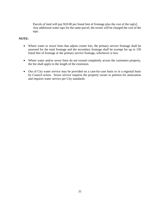Parcels of land will pay \$10.00 per lineal feet of frontage plus the cost of the tap[s]. Any additional water taps for the same parcel, the owner will be charged the cost of the taps.

#### **NOTE:**

- Where water or sewer lines that adjoin corner lots, the primary service frontage shall be assessed for the total frontage and the secondary frontage shall be exempt for up to 150 lineal feet of frontage or the primary service frontage, whichever is less.
- Where water and/or sewer lines do not extend completely across the customers property, the fee shall apply to the length of the extension.
- Out of City water service may be provided on a case-by-case basis or in a regional basis by Council action. Sewer service requires the property owner to petition for annexation and requires water service per City standards.